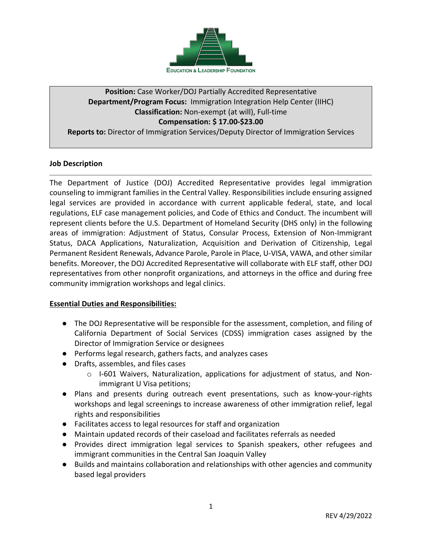

# **Position:** Case Worker/DOJ Partially Accredited Representative **Department/Program Focus:** Immigration Integration Help Center (IIHC) **Classification:** Non-exempt (at will), Full-time **Compensation: \$ 17.00-\$23.00**

**Reports to:** Director of Immigration Services/Deputy Director of Immigration Services

# **Job Description**

The Department of Justice (DOJ) Accredited Representative provides legal immigration counseling to immigrant families in the Central Valley. Responsibilities include ensuring assigned legal services are provided in accordance with current applicable federal, state, and local regulations, ELF case management policies, and Code of Ethics and Conduct. The incumbent will represent clients before the U.S. Department of Homeland Security (DHS only) in the following areas of immigration: Adjustment of Status, Consular Process, Extension of Non-Immigrant Status, DACA Applications, Naturalization, Acquisition and Derivation of Citizenship, Legal Permanent Resident Renewals, Advance Parole, Parole in Place, U-VISA, VAWA, and other similar benefits. Moreover, the DOJ Accredited Representative will collaborate with ELF staff, other DOJ representatives from other nonprofit organizations, and attorneys in the office and during free community immigration workshops and legal clinics.

#### **Essential Duties and Responsibilities:**

- The DOJ Representative will be responsible for the assessment, completion, and filing of California Department of Social Services (CDSS) immigration cases assigned by the Director of Immigration Service or designees
- Performs legal research, gathers facts, and analyzes cases
- Drafts, assembles, and files cases
	- $\circ$  I-601 Waivers, Naturalization, applications for adjustment of status, and Nonimmigrant U Visa petitions;
- Plans and presents during outreach event presentations, such as know-your-rights workshops and legal screenings to increase awareness of other immigration relief, legal rights and responsibilities
- Facilitates access to legal resources for staff and organization
- Maintain updated records of their caseload and facilitates referrals as needed
- Provides direct immigration legal services to Spanish speakers, other refugees and immigrant communities in the Central San Joaquin Valley
- Builds and maintains collaboration and relationships with other agencies and community based legal providers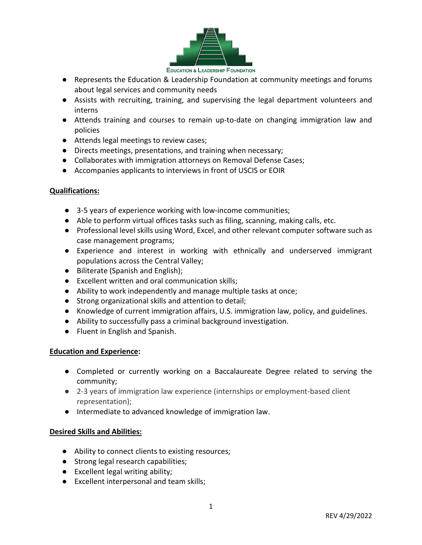

- Represents the Education & Leadership Foundation at community meetings and forums about legal services and community needs
- Assists with recruiting, training, and supervising the legal department volunteers and interns
- Attends training and courses to remain up-to-date on changing immigration law and policies
- Attends legal meetings to review cases;
- Directs meetings, presentations, and training when necessary;
- Collaborates with immigration attorneys on Removal Defense Cases;
- Accompanies applicants to interviews in front of USCIS or EOIR

# **Qualifications:**

- 3-5 years of experience working with low-income communities;
- Able to perform virtual offices tasks such as filing, scanning, making calls, etc.
- Professional level skills using Word, Excel, and other relevant computer software such as case management programs;
- Experience and interest in working with ethnically and underserved immigrant populations across the Central Valley;
- Biliterate (Spanish and English);
- Excellent written and oral communication skills;
- Ability to work independently and manage multiple tasks at once;
- Strong organizational skills and attention to detail;
- Knowledge of current immigration affairs, U.S. immigration law, policy, and guidelines.
- Ability to successfully pass a criminal background investigation.
- Fluent in English and Spanish.

#### **Education and Experience:**

- Completed or currently working on a Baccalaureate Degree related to serving the community;
- 2-3 years of immigration law experience (internships or employment-based client representation);
- Intermediate to advanced knowledge of immigration law.

# **Desired Skills and Abilities:**

- Ability to connect clients to existing resources;
- Strong legal research capabilities;
- Excellent legal writing ability;
- Excellent interpersonal and team skills;